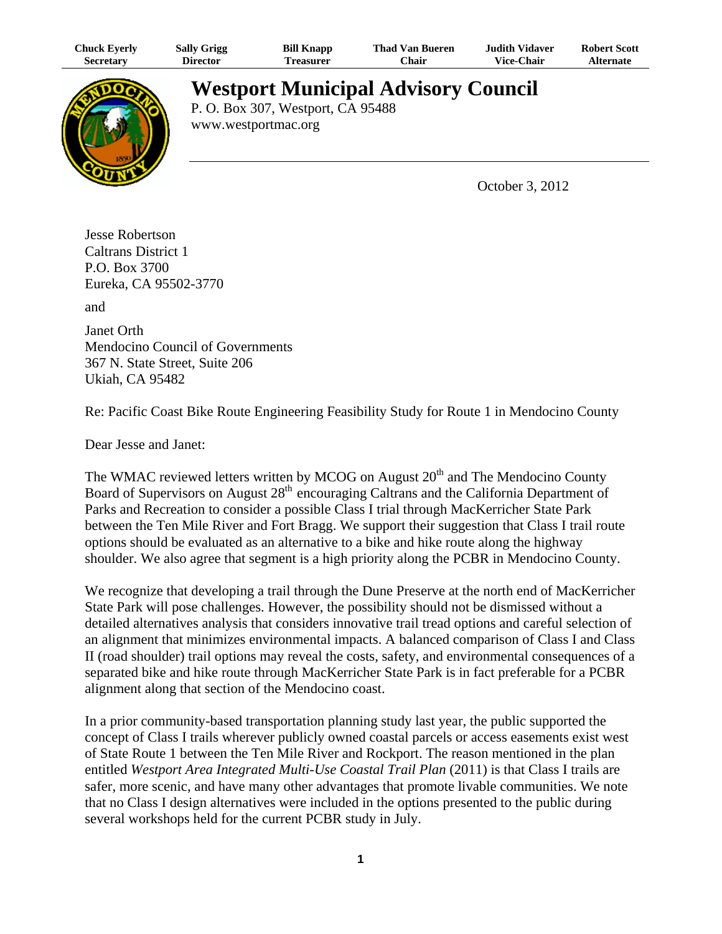| <b>Chuck Eyerly</b> | <b>Sally Grigg</b> | <b>Bill Knapp</b> | <b>Thad Van Bueren</b> | <b>Judith Vidaver</b> | <b>Robert Scott</b> |
|---------------------|--------------------|-------------------|------------------------|-----------------------|---------------------|
| Secretarv           | <b>Director</b>    | l'reasurer        | ∵hair                  | <b>Vice-Chair</b>     | <b>Alternate</b>    |



**Westport Municipal Advisory Council**

P. O. Box 307, Westport, CA 95488 www.westportmac.org

October 3, 2012

Jesse Robertson Caltrans District 1 P.O. Box 3700 Eureka, CA 95502-3770

and

Janet Orth Mendocino Council of Governments 367 N. State Street, Suite 206 Ukiah, CA 95482

Re: Pacific Coast Bike Route Engineering Feasibility Study for Route 1 in Mendocino County

Dear Jesse and Janet:

The WMAC reviewed letters written by MCOG on August  $20<sup>th</sup>$  and The Mendocino County Board of Supervisors on August 28<sup>th</sup> encouraging Caltrans and the California Department of Parks and Recreation to consider a possible Class I trial through MacKerricher State Park between the Ten Mile River and Fort Bragg. We support their suggestion that Class I trail route options should be evaluated as an alternative to a bike and hike route along the highway shoulder. We also agree that segment is a high priority along the PCBR in Mendocino County.

We recognize that developing a trail through the Dune Preserve at the north end of MacKerricher State Park will pose challenges. However, the possibility should not be dismissed without a detailed alternatives analysis that considers innovative trail tread options and careful selection of an alignment that minimizes environmental impacts. A balanced comparison of Class I and Class II (road shoulder) trail options may reveal the costs, safety, and environmental consequences of a separated bike and hike route through MacKerricher State Park is in fact preferable for a PCBR alignment along that section of the Mendocino coast.

In a prior community-based transportation planning study last year, the public supported the concept of Class I trails wherever publicly owned coastal parcels or access easements exist west of State Route 1 between the Ten Mile River and Rockport. The reason mentioned in the plan entitled *Westport Area Integrated Multi-Use Coastal Trail Plan* (2011) is that Class I trails are safer, more scenic, and have many other advantages that promote livable communities. We note that no Class I design alternatives were included in the options presented to the public during several workshops held for the current PCBR study in July.